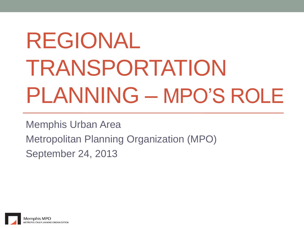# REGIONAL TRANSPORTATION PLANNING – MPO'S ROLE

Memphis Urban Area Metropolitan Planning Organization (MPO) September 24, 2013

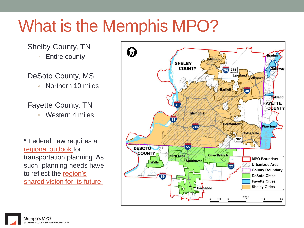# What is the Memphis MPO?

#### Shelby County, TN

■ Entire county

#### DeSoto County, MS

■ Northern 10 miles

#### Fayette County, TN

▫ Western 4 miles

**\*** Federal Law requires a regional outlook for transportation planning. As such, planning needs have to reflect the region's shared vision for its future.

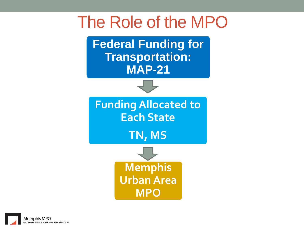### The Role of the MPO

**Federal Funding for Transportation: MAP-21**



**Funding Allocated to Each State**

**TN, MS**



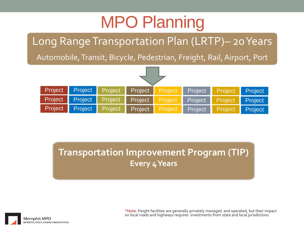# MPO Planning

Long Range Transportation Plan (LRTP)– 20 Years

Automobile, Transit, Bicycle, Pedestrian, Freight, Rail, Airport, Port



**Transportation Improvement Program (TIP) Every 4 Years**



\*Note: freight facilities are generally privately managed and operated, but their impact on local roads and highways requires investments from state and local jurisdictions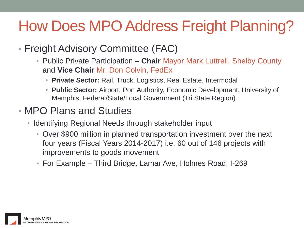### How Does MPO Address Freight Planning?

- Freight Advisory Committee (FAC)
	- Public Private Participation **Chair** Mayor Mark Luttrell, Shelby County and **Vice Chair** Mr. Don Colvin, FedEx
		- **Private Sector:** Rail, Truck, Logistics, Real Estate, Intermodal
		- **Public Sector:** Airport, Port Authority, Economic Development, University of Memphis, Federal/State/Local Government (Tri State Region)

### • MPO Plans and Studies

- Identifying Regional Needs through stakeholder input
	- Over \$900 million in planned transportation investment over the next four years (Fiscal Years 2014-2017) i.e. 60 out of 146 projects with improvements to goods movement
	- For Example Third Bridge, Lamar Ave, Holmes Road, I-269

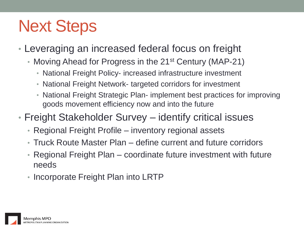# Next Steps

- Leveraging an increased federal focus on freight
	- Moving Ahead for Progress in the 21<sup>st</sup> Century (MAP-21)
		- National Freight Policy- increased infrastructure investment
		- National Freight Network- targeted corridors for investment
		- National Freight Strategic Plan- implement best practices for improving goods movement efficiency now and into the future
- Freight Stakeholder Survey identify critical issues
	- Regional Freight Profile inventory regional assets
	- Truck Route Master Plan define current and future corridors
	- Regional Freight Plan coordinate future investment with future needs
	- Incorporate Freight Plan into LRTP